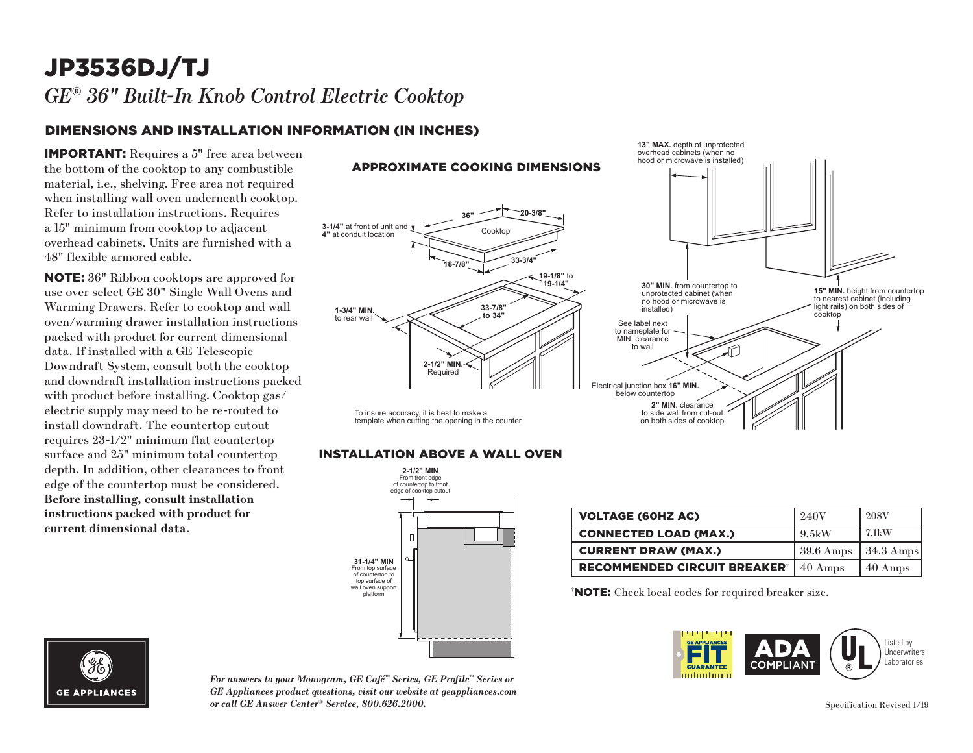## JP3536DJ/TJ *GE® 36" Built-In Knob Control Electric Cooktop*

### DIMENSIONS AND INSTALLATION INFORMATION (IN INCHES)

IMPORTANT: Requires a 5" free area between the bottom of the cooktop to any combustible material, i.e., shelving. Free area not required when installing wall oven underneath cooktop. Refer to installation instructions. Requires a 15" minimum from cooktop to adjacent overhead cabinets. Units are furnished with a 48" flexible armored cable.

NOTE: 36" Ribbon cooktops are approved for use over select GE 30" Single Wall Ovens and Warming Drawers. Refer to cooktop and wall oven/warming drawer installation instructions packed with product for current dimensional data. If installed with a GE Telescopic Downdraft System, consult both the cooktop and downdraft installation instructions packed with product before installing. Cooktop gas/ electric supply may need to be re-routed to install downdraft. The countertop cutout requires 23-1/2" minimum flat countertop surface and 25" minimum total countertop depth. In addition, other clearances to front edge of the countertop must be considered. **Before installing, consult installation instructions packed with product for current dimensional data**.

#### **13" MAX.** depth of unprotected overhead cabinets (when no hood or microwave is installed) APPROXIMATE COOKING DIMENSIONS **36" 20-3/8" 3-1/4"** at front of unit and Cooktop **4"** at conduit location **18-7/8" 33-3/4" 19-1/8"** to **19-1/4" 30" MIN.** from countertop to **15" MIN.** height from countertop unprotected cabinet (when to nearest cabinet (including no hood or microwave is light rails) on both sides of **33-7/8"** installed) **1-3/4" MIN.** cooktop **to 34"** to rear wal See label next to nameplate for MIN. clearance to wall M **2-1/2" MIN.** Required Electrical junction box **16" MIN.** below countertop **2" MIN.** clearance To insure accuracy, it is best to make a to side wall from cut-out template when cutting the opening in the counter on both sides of cooktop

### **INSTALLATION ABOVE A WALL OVEN**



| <b>VOLTAGE (60HZ AC)</b>                       | 240V                | <b>208V</b>       |
|------------------------------------------------|---------------------|-------------------|
| <b>CONNECTED LOAD (MAX.)</b>                   | -9.5kW              | $7.1$ kW          |
| <b>CURRENT DRAW (MAX.)</b>                     | $39.6 \text{ Amps}$ | $\vert$ 34.3 Amps |
| <b>RECOMMENDED CIRCUIT BREAKER<sup>®</sup></b> | $40 \text{ Amps}$   | 40 Amps           |

† NOTE: Check local codes for required breaker size.





*For answers to your Monogram, GE Café™ Series, GE Profile™ Series or GE Appliances product questions, visit our website at geappliances.com or call GE Answer Center® Service, 800.626.2000.*